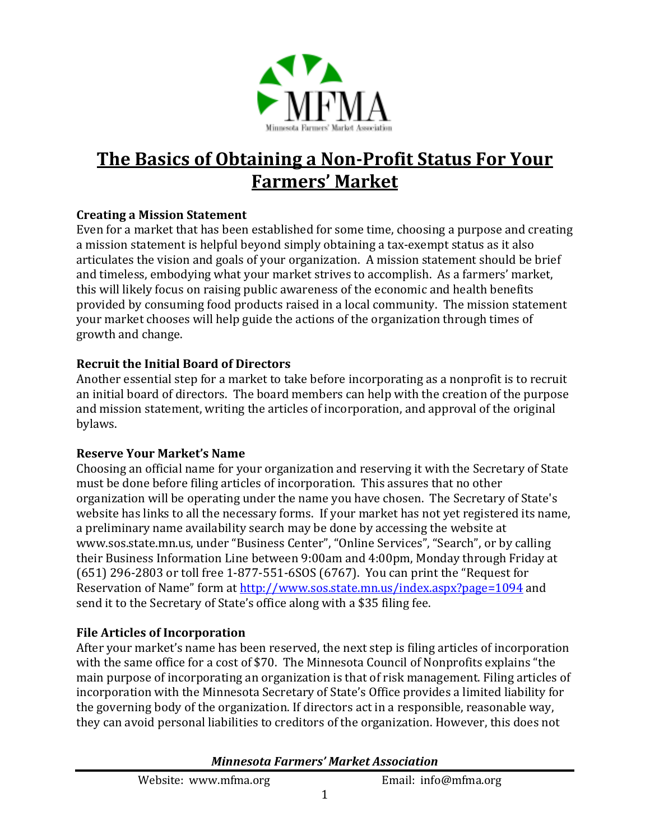

# **The Basics of Obtaining a Non-Profit Status For Your Farmers' Market**

## **Creating a Mission Statement**

Even for a market that has been established for some time, choosing a purpose and creating a mission statement is helpful beyond simply obtaining a tax-exempt status as it also articulates the vision and goals of your organization. A mission statement should be brief and timeless, embodying what your market strives to accomplish. As a farmers' market, this will likely focus on raising public awareness of the economic and health benefits provided by consuming food products raised in a local community. The mission statement your market chooses will help guide the actions of the organization through times of growth and change.

## **Recruit the Initial Board of Directors**

Another essential step for a market to take before incorporating as a nonprofit is to recruit an initial board of directors. The board members can help with the creation of the purpose and mission statement, writing the articles of incorporation, and approval of the original bylaws.

#### **Reserve Your Market's Name**

Choosing an official name for your organization and reserving it with the Secretary of State must be done before filing articles of incorporation. This assures that no other organization will be operating under the name you have chosen. The Secretary of State's website has links to all the necessary forms. If your market has not yet registered its name, a preliminary name availability search may be done by accessing the website at www.sos.state.mn.us, under "Business Center", "Online Services", "Search", or by calling their Business Information Line between 9:00am and 4:00pm, Monday through Friday at (651) 296-2803 or toll free 1-877-551-6SOS (6767). You can print the "Request for Reservation of Name" form at http://www.sos.state.mn.us/index.aspx?page=1094 and send it to the Secretary of State's office along with a \$35 filing fee.

#### **File Articles of Incorporation**

After your market's name has been reserved, the next step is filing articles of incorporation with the same office for a cost of \$70. The Minnesota Council of Nonprofits explains "the main purpose of incorporating an organization is that of risk management. Filing articles of incorporation with the Minnesota Secretary of State's Office provides a limited liability for the governing body of the organization. If directors act in a responsible, reasonable way, they can avoid personal liabilities to creditors of the organization. However, this does not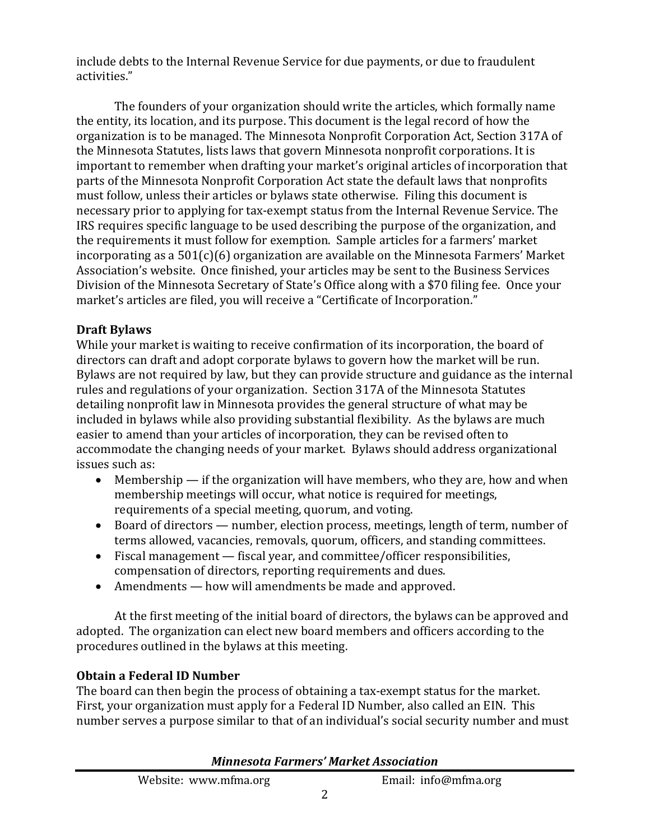include debts to the Internal Revenue Service for due payments, or due to fraudulent activities."

The founders of your organization should write the articles, which formally name the entity, its location, and its purpose. This document is the legal record of how the organization is to be managed. The Minnesota Nonprofit Corporation Act, Section 317A of the Minnesota Statutes, lists laws that govern Minnesota nonprofit corporations. It is important to remember when drafting your market's original articles of incorporation that parts of the Minnesota Nonprofit Corporation Act state the default laws that nonprofits must follow, unless their articles or bylaws state otherwise. Filing this document is necessary prior to applying for tax-exempt status from the Internal Revenue Service. The IRS requires specific language to be used describing the purpose of the organization, and the requirements it must follow for exemption. Sample articles for a farmers' market incorporating as a 501(c)(6) organization are available on the Minnesota Farmers' Market Association's website. Once finished, your articles may be sent to the Business Services Division of the Minnesota Secretary of State's Office along with a \$70 filing fee. Once your market's articles are filed, you will receive a "Certificate of Incorporation."

# **Draft Bylaws**

While your market is waiting to receive confirmation of its incorporation, the board of directors can draft and adopt corporate bylaws to govern how the market will be run. Bylaws are not required by law, but they can provide structure and guidance as the internal rules and regulations of your organization. Section 317A of the Minnesota Statutes detailing nonprofit law in Minnesota provides the general structure of what may be included in bylaws while also providing substantial flexibility. As the bylaws are much easier to amend than your articles of incorporation, they can be revised often to accommodate the changing needs of your market. Bylaws should address organizational issues such as:

- Membership  $\overline{\phantom{a}}$  if the organization will have members, who they are, how and when membership meetings will occur, what notice is required for meetings, requirements of a special meeting, quorum, and voting.
- Board of directors number, election process, meetings, length of term, number of terms allowed, vacancies, removals, quorum, officers, and standing committees.
- Fiscal management fiscal year, and committee/officer responsibilities, compensation of directors, reporting requirements and dues.
- Amendments how will amendments be made and approved.

 At the first meeting of the initial board of directors, the bylaws can be approved and adopted. The organization can elect new board members and officers according to the procedures outlined in the bylaws at this meeting.

# **Obtain a Federal ID Number**

The board can then begin the process of obtaining a tax-exempt status for the market. First, your organization must apply for a Federal ID Number, also called an EIN. This number serves a purpose similar to that of an individual's social security number and must

| Website: www.mfma.org | Email: info@mfma.org |
|-----------------------|----------------------|
|                       |                      |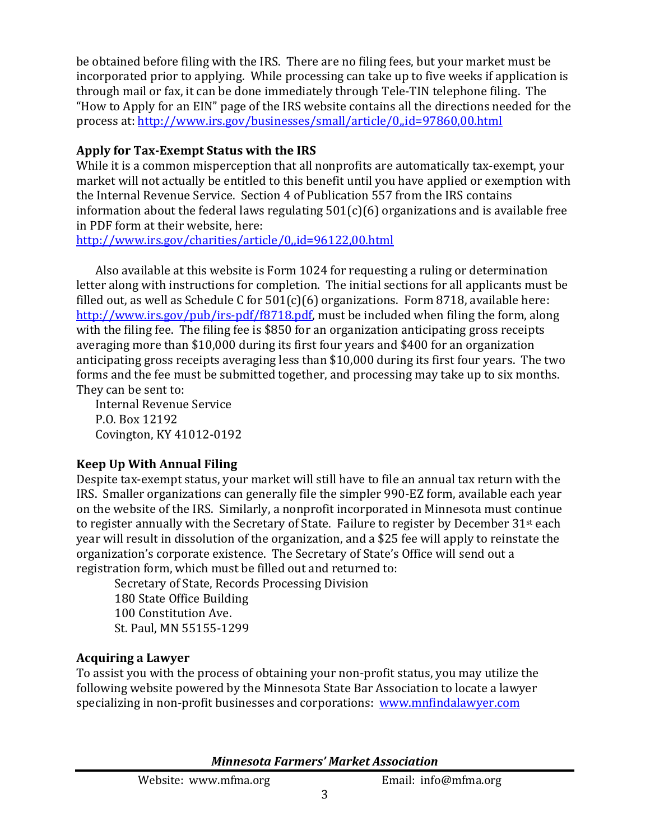be obtained before filing with the IRS. There are no filing fees, but your market must be incorporated prior to applying. While processing can take up to five weeks if application is through mail or fax, it can be done immediately through Tele-TIN telephone filing. The "How to Apply for an EIN" page of the IRS website contains all the directions needed for the process at: http://www.irs.gov/businesses/small/article/0,,id=97860,00.html

# **Apply for Tax-Exempt Status with the IRS**

While it is a common misperception that all nonprofits are automatically tax-exempt, your market will not actually be entitled to this benefit until you have applied or exemption with the Internal Revenue Service. Section 4 of Publication 557 from the IRS contains information about the federal laws regulating  $501(c)(6)$  organizations and is available free in PDF form at their website, here:

http://www.irs.gov/charities/article/0,,id=96122,00.html

Also available at this website is Form 1024 for requesting a ruling or determination letter along with instructions for completion. The initial sections for all applicants must be filled out, as well as Schedule C for  $501(c)(6)$  organizations. Form 8718, available here: http://www.irs.gov/pub/irs-pdf/f8718.pdf, must be included when filing the form, along with the filing fee. The filing fee is \$850 for an organization anticipating gross receipts averaging more than \$10,000 during its first four years and \$400 for an organization anticipating gross receipts averaging less than \$10,000 during its first four years. The two forms and the fee must be submitted together, and processing may take up to six months. They can be sent to:

Internal Revenue Service P.O. Box 12192 Covington, KY 41012-0192

# **Keep Up With Annual Filing**

Despite tax-exempt status, your market will still have to file an annual tax return with the IRS. Smaller organizations can generally file the simpler 990-EZ form, available each year on the website of the IRS. Similarly, a nonprofit incorporated in Minnesota must continue to register annually with the Secretary of State. Failure to register by December 31st each year will result in dissolution of the organization, and a \$25 fee will apply to reinstate the organization's corporate existence. The Secretary of State's Office will send out a registration form, which must be filled out and returned to:

Secretary of State, Records Processing Division 180 State Office Building 100 Constitution Ave. St. Paul, MN 55155-1299

# **Acquiring a Lawyer**

To assist you with the process of obtaining your non-profit status, you may utilize the following website powered by the Minnesota State Bar Association to locate a lawyer specializing in non-profit businesses and corporations: www.mnfindalawyer.com